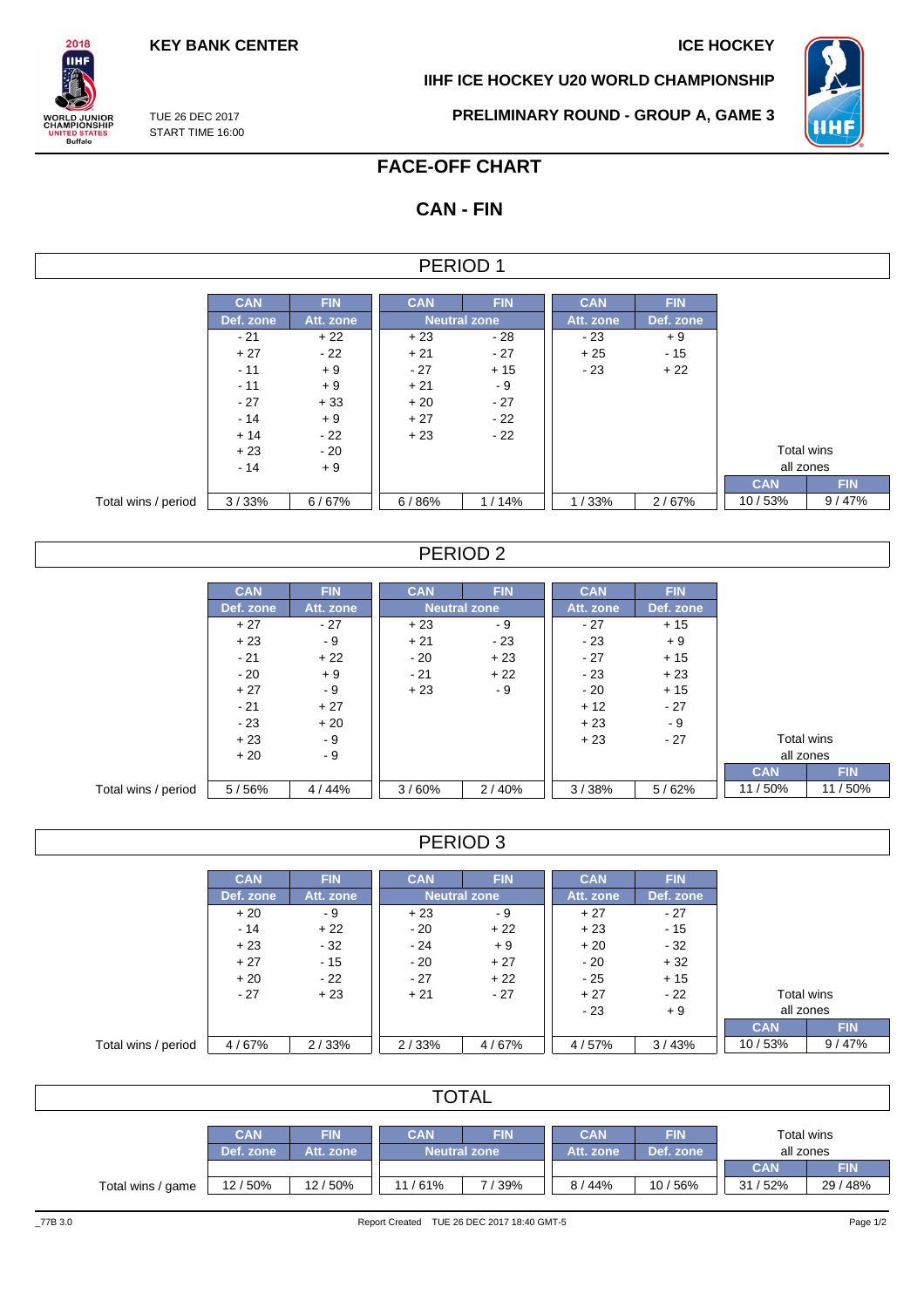**KEY BANK CENTER ICE HOCKEY** 

**IIHF ICE HOCKEY U20 WORLD CHAMPIONSHIP**



TUE 26 DEC 2017 START TIME 16:00

 $2018$ **IIHF** 

**ORLD JUNIOR**<br>HAMPIONSHIP

**NITED STATES**<br>Buffalo

**PRELIMINARY ROUND - GROUP A, GAME 3**

# **FACE-OFF CHART**

# **CAN - FIN**

### PERIOD 1

|                     | <b>CAN</b> | <b>FIN</b> | <b>CAN</b> | <b>FIN</b>          | <b>CAN</b> | <b>FIN</b> |            |            |
|---------------------|------------|------------|------------|---------------------|------------|------------|------------|------------|
|                     |            |            |            |                     | Att. zone  |            |            |            |
|                     | Def. zone  | Att. zone  |            | <b>Neutral zone</b> |            | Def. zone  |            |            |
|                     | $-21$      | $+22$      | $+23$      | - 28                | $-23$      | $+9$       |            |            |
|                     | $+27$      | $-22$      | $+21$      | $-27$               | $+25$      | $-15$      |            |            |
|                     | $-11$      | $+9$       | $-27$      | $+15$               | $-23$      | $+22$      |            |            |
|                     | $-11$      | $+9$       | $+21$      | - 9                 |            |            |            |            |
|                     | $-27$      | $+33$      | $+20$      | $-27$               |            |            |            |            |
|                     | $-14$      | $+9$       | $+27$      | $-22$               |            |            |            |            |
|                     | $+14$      | - 22       | $+23$      | $-22$               |            |            |            |            |
|                     | $+23$      | $-20$      |            |                     |            |            |            | Total wins |
|                     | - 14       | $+9$       |            |                     |            |            | all zones  |            |
|                     |            |            |            |                     |            |            | <b>CAN</b> | <b>FIN</b> |
| Total wins / period | 3/33%      | 6/67%      | 6/86%      | 1/14%               | 1/33%      | 2/67%      | 10/53%     | 9/47%      |

## PERIOD 2

|                     | <b>CAN</b> | <b>FIN</b> | <b>CAN</b> | <b>FIN</b>          | <b>CAN</b> | <b>FIN</b> |            |            |
|---------------------|------------|------------|------------|---------------------|------------|------------|------------|------------|
|                     | Def. zone  | Att. zone  |            | <b>Neutral zone</b> | Att. zone  | Def. zone  |            |            |
|                     | $+27$      | $-27$      | $+23$      | - 9                 | $-27$      | $+15$      |            |            |
|                     | $+23$      | - 9        | $+21$      | $-23$               | $-23$      | $+9$       |            |            |
|                     | $-21$      | $+22$      | $-20$      | $+23$               | $-27$      | $+15$      |            |            |
|                     | $-20$      | $+9$       | $-21$      | $+22$               | - 23       | $+23$      |            |            |
|                     | $+27$      | - 9        | $+23$      | - 9                 | $-20$      | $+15$      |            |            |
|                     | $-21$      | $+27$      |            |                     | $+12$      | $-27$      |            |            |
|                     | $-23$      | $+20$      |            |                     | $+23$      | - 9        |            |            |
|                     | $+23$      | - 9        |            |                     | $+23$      | $-27$      | Total wins |            |
|                     | $+20$      | - 9        |            |                     |            |            | all zones  |            |
|                     |            |            |            |                     |            |            | <b>CAN</b> | <b>FIN</b> |
| Total wins / period | 5/56%      | 4/44%      | 3/60%      | 2/40%               | 3/38%      | 5/62%      | 11/50%     | 11/50%     |

## PERIOD 3

|                     | <b>CAN</b> | <b>FIN</b> | <b>CAN</b>          | <b>FIN</b> | <b>CAN</b>             | <b>FIN</b> |            |            |
|---------------------|------------|------------|---------------------|------------|------------------------|------------|------------|------------|
|                     | Def. zone  | Att. zone  | <b>Neutral zone</b> |            | Att. zone<br>Def. zone |            |            |            |
|                     | $+20$      | - 9        | $+23$               | - 9        | $+27$                  | $-27$      |            |            |
|                     | $-14$      | $+22$      | $-20$               | $+22$      | $+23$                  | $-15$      |            |            |
|                     | $+23$      | $-32$      | $-24$               | $+9$       | $+20$                  | $-32$      |            |            |
|                     | $+27$      | $-15$      | $-20$               | $+27$      | - 20                   | $+32$      |            |            |
|                     | $+20$      | - 22       | $-27$               | $+22$      | $-25$                  | $+15$      |            |            |
|                     | $-27$      | $+23$      | $+21$               | $-27$      | $+27$                  | $-22$      | Total wins |            |
|                     |            |            |                     |            | $-23$                  | $+9$       | all zones  |            |
|                     |            |            |                     |            |                        |            | <b>CAN</b> | <b>FIN</b> |
| Total wins / period | 4/67%      | 2/33%      | 2/33%               | 4/67%      | 4 / 57%                | 3/43%      | 10/53%     | 9/47%      |

| <b>TOTAL</b>      |            |            |            |                     |            |            |            |            |  |  |  |  |
|-------------------|------------|------------|------------|---------------------|------------|------------|------------|------------|--|--|--|--|
|                   |            |            |            |                     |            |            |            |            |  |  |  |  |
|                   | <b>CAN</b> | <b>FIN</b> | <b>CAN</b> | <b>FIN</b>          | <b>CAN</b> | <b>FIN</b> | Total wins |            |  |  |  |  |
|                   | Def. zone  | Att. zone  |            | <b>Neutral zone</b> | Att. zone  | Def. zone  | all zones  |            |  |  |  |  |
|                   |            |            |            |                     |            |            | <b>CAN</b> | <b>FIN</b> |  |  |  |  |
| Total wins / game | 12 / 50%   | 12/50%     | 11/61%     | 7/39%               | 8/44%      | 10/56%     | 31/52%     | 29 / 48%   |  |  |  |  |